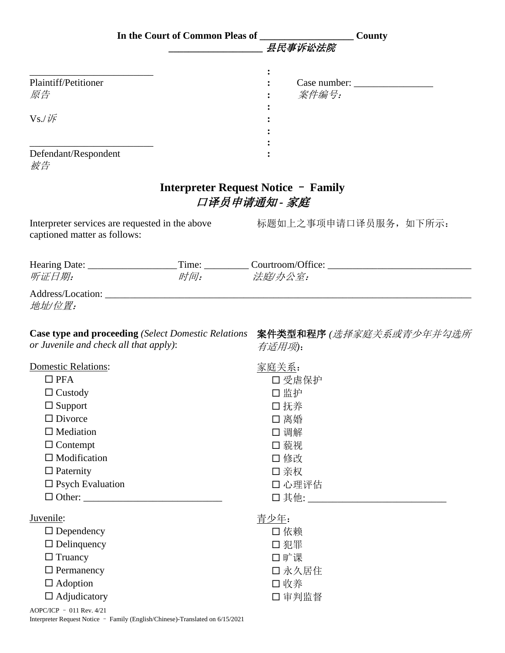|                                        |                                                                               | <b>County</b>                                                                                |
|----------------------------------------|-------------------------------------------------------------------------------|----------------------------------------------------------------------------------------------|
|                                        |                                                                               | 县民事诉讼法院                                                                                      |
|                                        |                                                                               |                                                                                              |
| Plaintiff/Petitioner                   |                                                                               |                                                                                              |
| 原告                                     |                                                                               | 案件编号:                                                                                        |
| $Vs$ ./ $\frac{1}{K}$                  |                                                                               |                                                                                              |
|                                        |                                                                               |                                                                                              |
|                                        |                                                                               |                                                                                              |
| Defendant/Respondent<br>被告             |                                                                               |                                                                                              |
|                                        | <b>Interpreter Request Notice - Family</b><br>口译员申请通知 - 家庭                    |                                                                                              |
| captioned matter as follows:           | Interpreter services are requested in the above                               | 标题如上之事项申请口译员服务, 如下所示:                                                                        |
|                                        |                                                                               |                                                                                              |
| 听证日期:                                  | 时间: 法庭/办公室:                                                                   |                                                                                              |
| 地址/位置:                                 |                                                                               |                                                                                              |
| or Juvenile and check all that apply): |                                                                               | <b>Case type and proceeding</b> (Select Domestic Relations 案件类型和程序 (选择家庭关系或青少年并勾选所<br>有适用项): |
| <b>Domestic Relations:</b>             |                                                                               | <u>家庭关系:</u>                                                                                 |
| $\Box$ PFA                             |                                                                               | 口受虐保护                                                                                        |
| $\Box$ Custody                         |                                                                               | 口监护                                                                                          |
| $\Box$ Support                         |                                                                               | 口抚养                                                                                          |
| $\Box$ Divorce                         |                                                                               | 口离婚                                                                                          |
| $\Box$ Mediation                       |                                                                               | □ 调解                                                                                         |
| $\Box$ Contempt<br>$\Box$ Modification |                                                                               | 口藐视<br>□ 修改                                                                                  |
| $\Box$ Paternity                       |                                                                               | 口 亲权                                                                                         |
| $\square$ Psych Evaluation             |                                                                               | 口心理评估                                                                                        |
|                                        |                                                                               |                                                                                              |
| Juvenile:                              |                                                                               | 青少年:                                                                                         |
| $\Box$ Dependency                      |                                                                               | □依赖                                                                                          |
| $\Box$ Delinquency                     |                                                                               | 口犯罪                                                                                          |
| $\Box$ Truancy                         |                                                                               | 口旷课                                                                                          |
| $\Box$ Permanency                      |                                                                               | 口 永久居住                                                                                       |
| $\Box$ Adoption                        |                                                                               | 口收养                                                                                          |
| $\Box$ Adjudicatory                    |                                                                               | 口审判监督                                                                                        |
| AOPC/ICP - 011 Rev. 4/21               | Interpreter Request Notice - Family (English/Chinese)-Translated on 6/15/2021 |                                                                                              |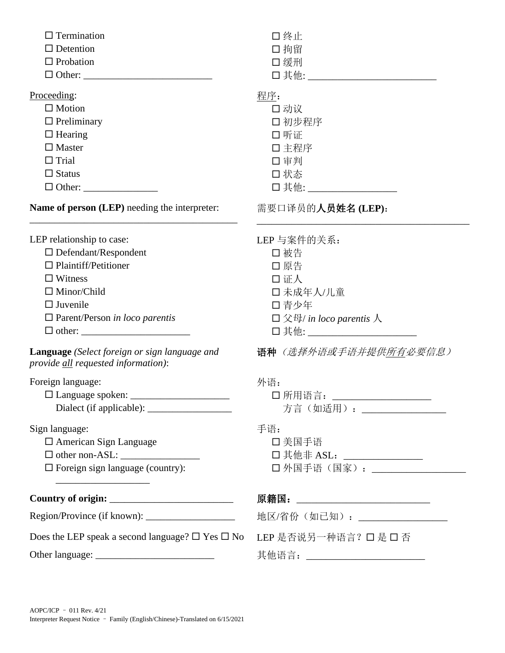| $\Box$ Termination<br>$\Box$ Detention<br>$\Box$ Probation                                                                                                                                                                                         | 口终止<br>口拘留<br>□ 缓刑                                                                                                            |
|----------------------------------------------------------------------------------------------------------------------------------------------------------------------------------------------------------------------------------------------------|-------------------------------------------------------------------------------------------------------------------------------|
| Proceeding:<br>$\Box$ Motion<br>$\Box$ Preliminary<br>$\Box$ Hearing<br>$\Box$ Master<br>$\Box$ Trial<br>$\Box$ Status                                                                                                                             | 程序:<br>口动议<br>口 初步程序<br>口听证<br>口主程序<br>口 审判<br>□状态<br>口其他: _________________                                                  |
| Name of person (LEP) needing the interpreter:                                                                                                                                                                                                      | 需要口译员的人员姓名(LEP):                                                                                                              |
| LEP relationship to case:<br>$\Box$ Defendant/Respondent<br>$\Box$ Plaintiff/Petitioner<br>$\Box$ Witness<br>$\Box$ Minor/Child<br>$\Box$ Juvenile<br>$\Box$ Parent/Person in loco parentis<br>$\Box \; \mbox{other:} \; \underline{\hspace{2cm}}$ | LEP 与案件的关系:<br>□ 被告<br>□ 原告<br>口证人<br>口未成年人/儿童<br>口青少年<br>$\square$ 父母/ in loco parentis 人<br>□ 其他: _________________________ |
| Language (Select foreign or sign language and<br>provide all requested information):                                                                                                                                                               | 语种(选择外语或手语并提供所有必要信息)                                                                                                          |
| Foreign language:                                                                                                                                                                                                                                  | 外语:<br>□ 所用语言: _____________________<br>方言(如适用): ______________                                                               |
| Sign language:<br>$\Box$ American Sign Language<br>$\Box$ Foreign sign language (country):                                                                                                                                                         | 手语:<br>口 美国手语<br>□ 其他非 ASL: _______________<br>□ 外国手语 (国家) : _________________                                                |
|                                                                                                                                                                                                                                                    | 原籍国:_____________________________                                                                                             |
|                                                                                                                                                                                                                                                    | 地区/省份(如已知): ________________                                                                                                  |
| Does the LEP speak a second language? $\square$ Yes $\square$ No                                                                                                                                                                                   | LEP 是否说另一种语言? 口是 口 否                                                                                                          |
|                                                                                                                                                                                                                                                    | 其他语言: __________________________                                                                                              |